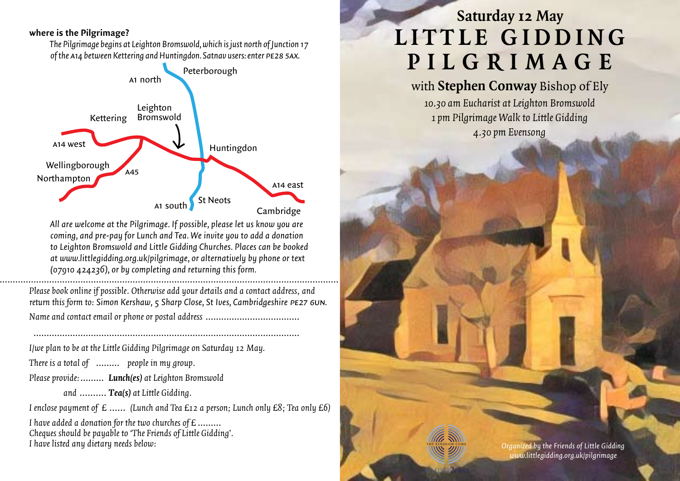#### **where is the Pilgrimage?**

*The Pilgrimage begins at Leighton Bromswold, which is just north of Junction 17 of the* a*14 between Kettering and Huntingdon. Satnav users: enter* pe28 5ax*.*



*All are welcome at the Pilgrimage. If possible, please let us know you are coming, and pre-pay for Lunch and Tea. We invite you to add a donation to Leighton Bromswold and Little Gidding Churches. Places can be booked at www.littlegidding.org.uk/pilgrimage, or alternatively by phone or text (07910 424236), or by completing and returning this form.*

 ..………………………………………………………………………………………………………………………… *Please book online if possible. Otherwise add your details and a contact address, and return this form to: Simon Kershaw, 5 Sharp Close, St Ives, Cambridgeshire* pe27 6un*. Name and contact email or phone or postal address* ………………………………

…………………………………………………………………………………………

*I/we plan to be at the Little Gidding Pilgrimage on Saturday 12 May.*

*There is a total of* ……… *people in my group.*

*Please provide:*……… *Lunch(es) at Leighton Bromswold* 

*and* .......... *Tea(s) at Little Gidding.*

*I enclose payment of £* ...... *(Lunch and Tea £12 a person; Lunch only £8; Tea only £6)*

*I have added a donation for the two churches of £* ……… *Cheques should be payable to 'The Friends of Little Gidding'. I have listed any dietary needs below:*

# **Saturday 12 May LITTLE GIDDING P i lg r i m a g e**

# with **Stephen Conway** Bishop of Ely

*10.30 am Eucharist at Leighton Bromswold 1 pm Pilgrimage Walk to Little Gidding 4.30pm Evensong*

> *Organized by the Friends of Little Gidding www.littlegidding.org.uk/pilgrimage*